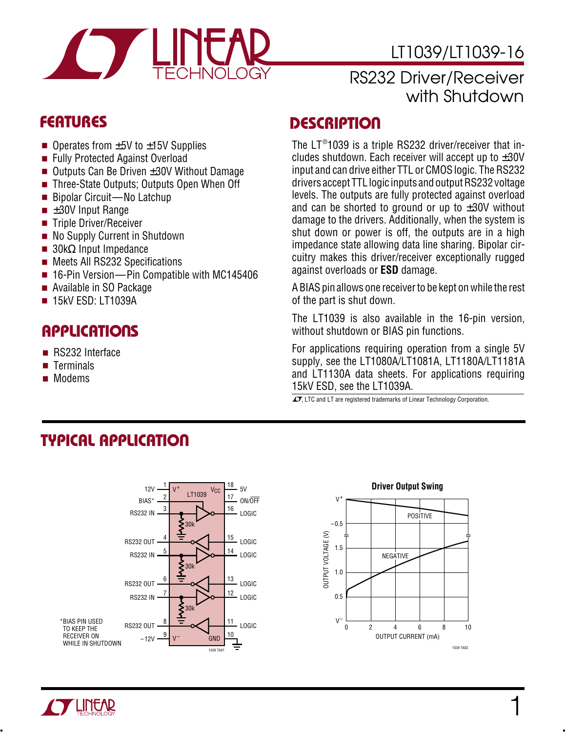

# LT1039/LT1039-16

#### RS232 Driver/Receiver with Shutdown

- Operates from  $\pm 5V$  to  $\pm 15V$  Supplies
- Fully Protected Against Overload
- Outputs Can Be Driven ±30V Without Damage
- Three-State Outputs; Outputs Open When Off
- Bipolar Circuit—No Latchup
- $\blacksquare$   $\pm 30V$  Input Range
- Triple Driver/Receiver
- No Supply Current in Shutdown
- $\blacksquare$  30kΩ Input Impedance
- Meets All RS232 Specifications
- 16-Pin Version—Pin Compatible with MC145406
- Available in SO Package
- 15kV ESD: LT1039A

## **APPLICATIONS**

- RS232 Interface
- Terminals
- Modems

#### **FEATURES DESCRIPTIO <sup>U</sup>**

The  $LT^{\circledast}$ 1039 is a triple RS232 driver/receiver that includes shutdown. Each receiver will accept up to  $\pm 30V$ input and can drive either TTL or CMOS logic. The RS232 drivers accept TTL logic inputs and output RS232 voltage levels. The outputs are fully protected against overload and can be shorted to ground or up to  $\pm 30V$  without damage to the drivers. Additionally, when the system is shut down or power is off, the outputs are in a high impedance state allowing data line sharing. Bipolar circuitry makes this driver/receiver exceptionally rugged against overloads or **ESD** damage.

A BIAS pin allows one receiver to be kept on while the rest of the part is shut down.

The LT1039 is also available in the 16-pin version, without shutdown or BIAS pin functions.

For applications requiring operation from a single 5V supply, see the LT1080A/LT1081A, LT1180A/LT1181A and LT1130A data sheets. For applications requiring 15kV ESD, see the LT1039A.

 $\overline{\mathcal{A}}$ . LTC and LT are registered trademarks of Linear Technology Corporation.

# **TYPICAL APPLICATION**







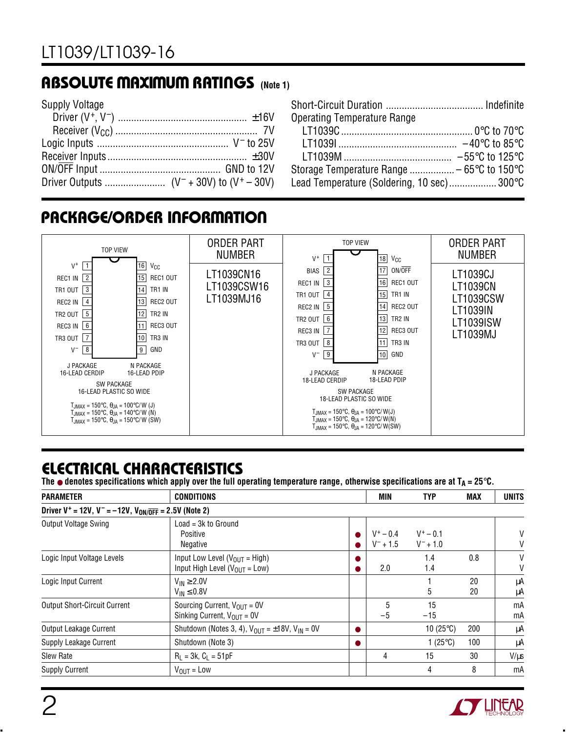### **ABSOLUTE MAXIMUM RATINGS** (Note 1)

| <b>Supply Voltage</b> |  |
|-----------------------|--|
|                       |  |
|                       |  |
|                       |  |
|                       |  |
|                       |  |
|                       |  |

| <b>Operating Temperature Range</b>                             |  |
|----------------------------------------------------------------|--|
|                                                                |  |
|                                                                |  |
|                                                                |  |
| Storage Temperature Range  – 65 $\degree$ C to 150 $\degree$ C |  |
| Lead Temperature (Soldering, 10 sec) 300°C                     |  |

## **PACKAGE/ORDER INFORMATION**



## **ELECTRICAL CHARACTERISTICS**

The  $\bullet$  denotes specifications which apply over the full operating temperature range, otherwise specifications are at  $T_A = 25^\circ \text{C}$ .

| <b>PARAMETER</b>                                                                        | <b>CONDITIONS</b>                                                           |  |                            | TYP                        | <b>MAX</b> | <b>UNITS</b> |
|-----------------------------------------------------------------------------------------|-----------------------------------------------------------------------------|--|----------------------------|----------------------------|------------|--------------|
| Driver V <sup>+</sup> = 12V, V <sup>-</sup> = -12V, V <sub>ON/OFF</sub> = 2.5V (Note 2) |                                                                             |  |                            |                            |            |              |
| Output Voltage Swing                                                                    | $Load = 3k to Ground$<br>Positive<br>Negative                               |  | $V^+ - 0.4$<br>$V^- + 1.5$ | $V^+ - 0.1$<br>$V^- + 1.0$ |            | V<br>V       |
| Logic Input Voltage Levels                                                              | Input Low Level ( $V_{OUT}$ = High)<br>Input High Level ( $V_{OIII}$ = Low) |  | 2.0                        | 1.4<br>1.4                 | 0.8        | V<br>V       |
| Logic Input Current                                                                     | $V_{IN} \geq 2.0V$<br>$V_{IN} \leq 0.8V$                                    |  |                            | 5                          | 20<br>20   | μA<br>μA     |
| <b>Output Short-Circuit Current</b>                                                     | Sourcing Current, $V_{OIII} = 0V$<br>Sinking Current, $V_{OIII} = 0V$       |  | 5<br>$-5$                  | 15<br>$-15$                |            | mA<br>mA     |
| Output Leakage Current                                                                  | Shutdown (Notes 3, 4), $V_{OUT} = \pm 18V$ , $V_{IN} = 0V$                  |  |                            | 10 $(25^{\circ}C)$         | 200        | μA           |
| Supply Leakage Current                                                                  | Shutdown (Note 3)                                                           |  |                            | 1 $(25^{\circ}C)$          | 100        | μA           |
| <b>Slew Rate</b>                                                                        | $R_1 = 3k$ , $C_1 = 51pF$                                                   |  | 4                          | 15                         | 30         | $V/\mu s$    |
| <b>Supply Current</b>                                                                   | $V_{OUIT} = Low$                                                            |  |                            | 4                          | 8          | mA           |

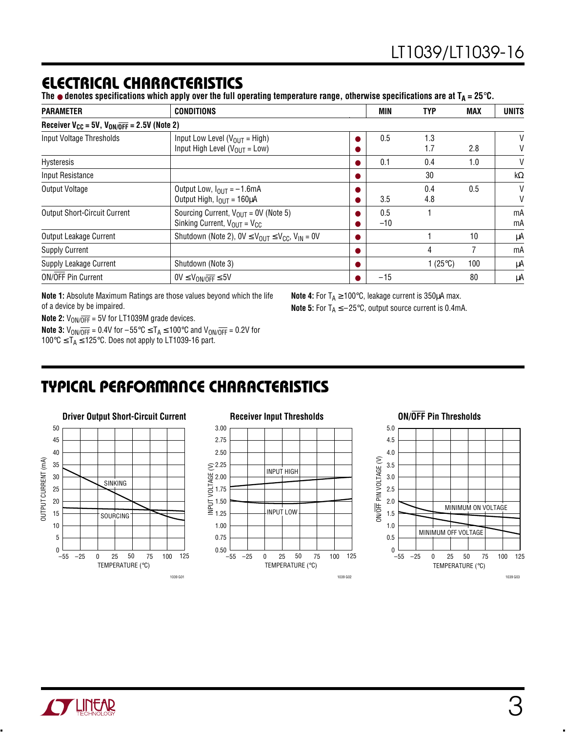#### **ELECTRICAL CHARACTERISTICS**

The  $\bullet$  denotes specifications which apply over the full operating temperature range, otherwise specifications are at  $T_A = 25^\circ \text{C}$ .

| <b>PARAMETER</b>                                                | <b>CONDITIONS</b>                                                                     |  | <b>MIN</b>   | <b>TYP</b>         | <b>MAX</b> | <b>UNITS</b> |
|-----------------------------------------------------------------|---------------------------------------------------------------------------------------|--|--------------|--------------------|------------|--------------|
| Receiver $V_{CC}$ = 5V, $V_{ON/\overline{OFF}}$ = 2.5V (Note 2) |                                                                                       |  |              |                    |            |              |
| Input Voltage Thresholds                                        | Input Low Level ( $V_{OUT}$ = High)<br>Input High Level ( $V_{OUT}$ = Low)            |  | 0.5          | 1.3<br>1.7         | 2.8        | V<br>V       |
| Hysteresis                                                      |                                                                                       |  | 0.1          | 0.4                | 1.0        | V            |
| Input Resistance                                                |                                                                                       |  |              | 30                 |            | $k\Omega$    |
| Output Voltage                                                  | Output Low, $I_{\text{OUT}} = -1.6 \text{mA}$<br>Output High, $I_{OUT} = 160 \mu A$   |  | 3.5          | 0.4<br>4.8         | 0.5        | $\vee$<br>V  |
| <b>Output Short-Circuit Current</b>                             | Sourcing Current, $V_{OIII}$ = 0V (Note 5)<br>Sinking Current, $V_{OUT} = V_{CC}$     |  | 0.5<br>$-10$ |                    |            | mA<br>mA     |
| Output Leakage Current                                          | Shutdown (Note 2), $0V \leq V_{\text{OUT}} \leq V_{\text{CC}}$ , $V_{\text{IN}} = 0V$ |  |              |                    | 10         | μA           |
| <b>Supply Current</b>                                           |                                                                                       |  |              | 4                  |            | mA           |
| Supply Leakage Current                                          | Shutdown (Note 3)                                                                     |  |              | 1 (25 $\degree$ C) | 100        | μA           |
| <b>ON/OFF Pin Current</b>                                       | $0V \leq V_{ON/\overline{OFF}} \leq 5V$                                               |  | $-15$        |                    | 80         | μA           |

**Note 1:** Absolute Maximum Ratings are those values beyond which the life of a device by be impaired.

**Note 4:** For  $T_A \ge 100^{\circ}$ C, leakage current is 350 $\mu$ A max. **Note 5:** For  $T_A \le -25^\circ \text{C}$ , output source current is 0.4mA.

**Note 2:**  $V_{ON/\overline{OFF}} = 5V$  for LT1039M grade devices.

**Note 3:**  $V_{ON/\overline{OFF}} = 0.4V$  for  $-55^{\circ}C \le T_A \le 100^{\circ}C$  and  $V_{ON/\overline{OFF}} = 0.2V$  for 100 $\degree$ C ≤ T<sub>A</sub> ≤ 125 $\degree$ C. Does not apply to LT1039-16 part.

# **TYPICAL PERFORMANCE CHARACTERISTICS W U**





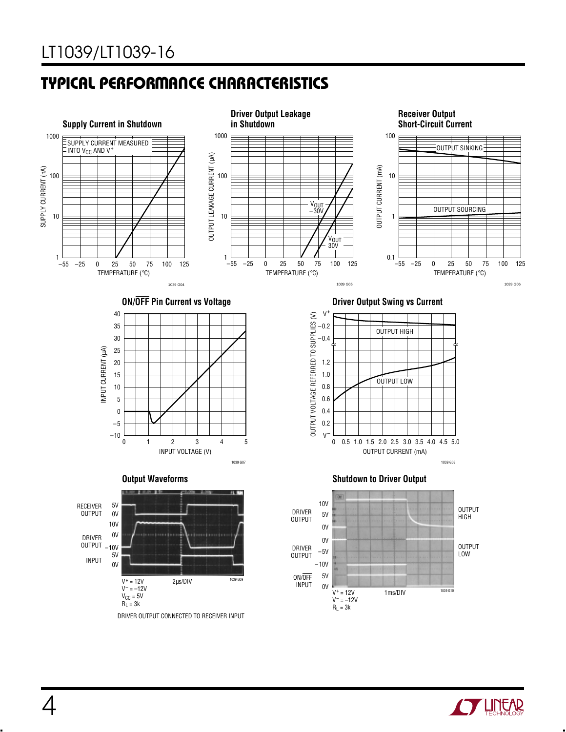## **TYPICAL PERFORMANCE CHARACTERISTICS W U**



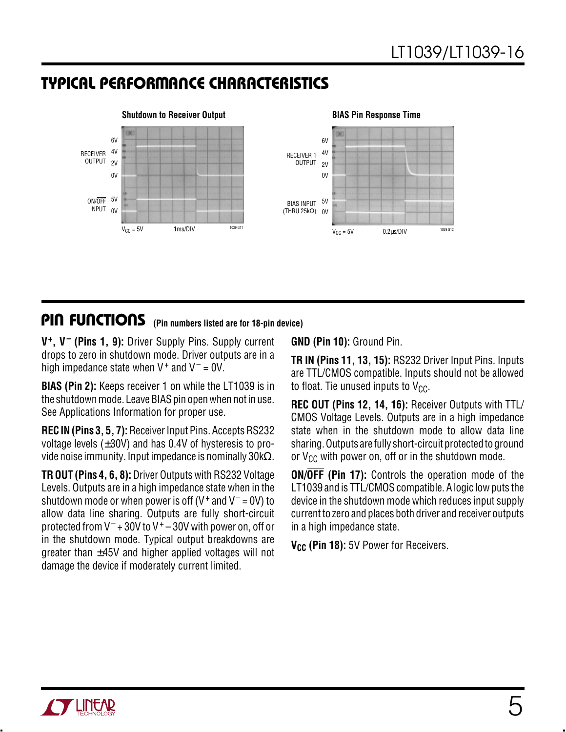### **TYPICAL PERFORMANCE CHARACTERISTICS W U**



#### **PIN FUNCTIONS** (Pin numbers listed are for 18-pin device)

**V+, V– (Pins 1, 9):** Driver Supply Pins. Supply current drops to zero in shutdown mode. Driver outputs are in a high impedance state when  $V^+$  and  $V^-$  = 0V.

**BIAS (Pin 2):** Keeps receiver 1 on while the LT1039 is in the shutdown mode. Leave BIAS pin open when not in use. See Applications Information for proper use.

**REC IN (Pins 3, 5, 7):** Receiver Input Pins. Accepts RS232 voltage levels  $(\pm 30V)$  and has 0.4V of hysteresis to provide noise immunity. Input impedance is nominally  $30k\Omega$ .

**TR OUT (Pins 4, 6, 8):** Driver Outputs with RS232 Voltage Levels. Outputs are in a high impedance state when in the shutdown mode or when power is off (V<sup>+</sup> and V<sup>-</sup> = 0V) to allow data line sharing. Outputs are fully short-circuit protected from  $V^-$  + 30V to  $V^+$  – 30V with power on, off or in the shutdown mode. Typical output breakdowns are greater than  $\pm 45V$  and higher applied voltages will not damage the device if moderately current limited.

**GND (Pin 10):** Ground Pin.

**TR IN (Pins 11, 13, 15):** RS232 Driver Input Pins. Inputs are TTL/CMOS compatible. Inputs should not be allowed to float. Tie unused inputs to  $V_{CC}$ .

**REC OUT (Pins 12, 14, 16):** Receiver Outputs with TTL/ CMOS Voltage Levels. Outputs are in a high impedance state when in the shutdown mode to allow data line sharing. Outputs are fully short-circuit protected to ground or  $V_{CC}$  with power on, off or in the shutdown mode.

**ON/OFF (Pin 17):** Controls the operation mode of the LT1039 and is TTL/CMOS compatible. A logic low puts the device in the shutdown mode which reduces input supply current to zero and places both driver and receiver outputs in a high impedance state.

**V<sub>CC</sub>** (Pin 18): 5V Power for Receivers.

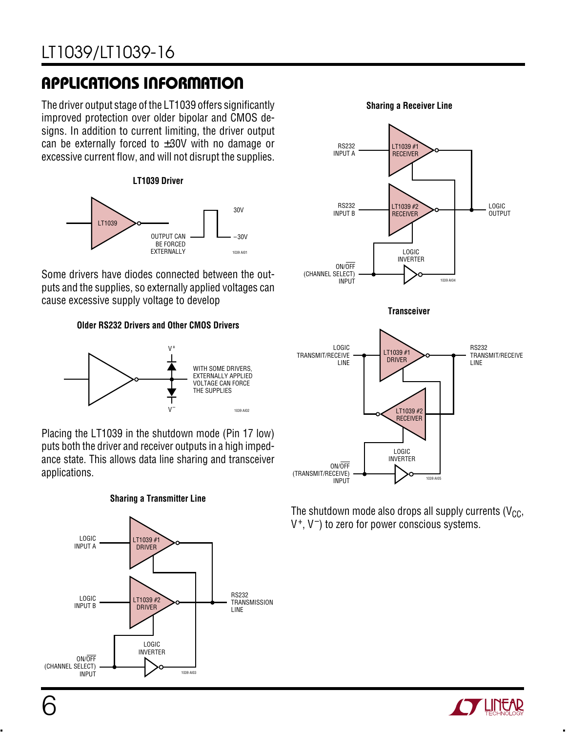# LT1039/LT1039-16

# **APPLICATIONS INFORMATION U W U U**

The driver output stage of the LT1039 offers significantly improved protection over older bipolar and CMOS designs. In addition to current limiting, the driver output can be externally forced to  $\pm 30V$  with no damage or excessive current flow, and will not disrupt the supplies.





Some drivers have diodes connected between the outputs and the supplies, so externally applied voltages can cause excessive supply voltage to develop

**Older RS232 Drivers and Other CMOS Drivers**



Placing the LT1039 in the shutdown mode (Pin 17 low) puts both the driver and receiver outputs in a high impedance state. This allows data line sharing and transceiver applications.





#### **Sharing a Receiver Line**



1039 AI05 ON/OFF (TRANSMIT/RECEIVE) INPUT LOGIC INVERTER

The shutdown mode also drops all supply currents ( $V_{CC}$ ,  $V^+$ ,  $V^-$ ) to zero for power conscious systems.

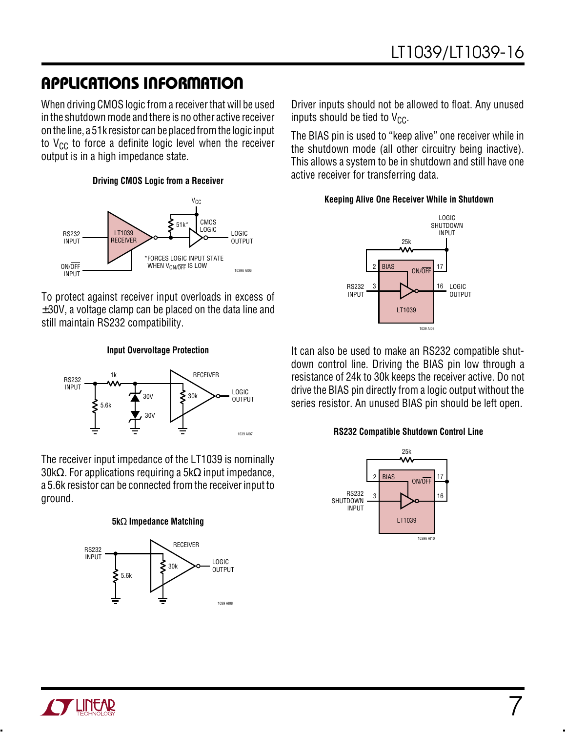### **APPLICATIONS INFORMATION U W U U**

When driving CMOS logic from a receiver that will be used in the shutdown mode and there is no other active receiver on the line, a 51k resistor can be placed from the logic input to  $V_{CC}$  to force a definite logic level when the receiver output is in a high impedance state.

#### **Driving CMOS Logic from a Receiver**



To protect against receiver input overloads in excess of  $\pm 30$ V, a voltage clamp can be placed on the data line and still maintain RS232 compatibility.

#### **Input Overvoltage Protection**



The receiver input impedance of the LT1039 is nominally 30kΩ. For applications requiring a 5kΩ input impedance, a 5.6k resistor can be connected from the receiver input to ground.

#### **5k**Ω **Impedance Matching**



Driver inputs should not be allowed to float. Any unused inputs should be tied to  $V_{CC}$ .

The BIAS pin is used to "keep alive" one receiver while in the shutdown mode (all other circuitry being inactive). This allows a system to be in shutdown and still have one active receiver for transferring data.

#### **Keeping Alive One Receiver While in Shutdown**



It can also be used to make an RS232 compatible shutdown control line. Driving the BIAS pin low through a resistance of 24k to 30k keeps the receiver active. Do not drive the BIAS pin directly from a logic output without the series resistor. An unused BIAS pin should be left open.

#### **RS232 Compatible Shutdown Control Line**



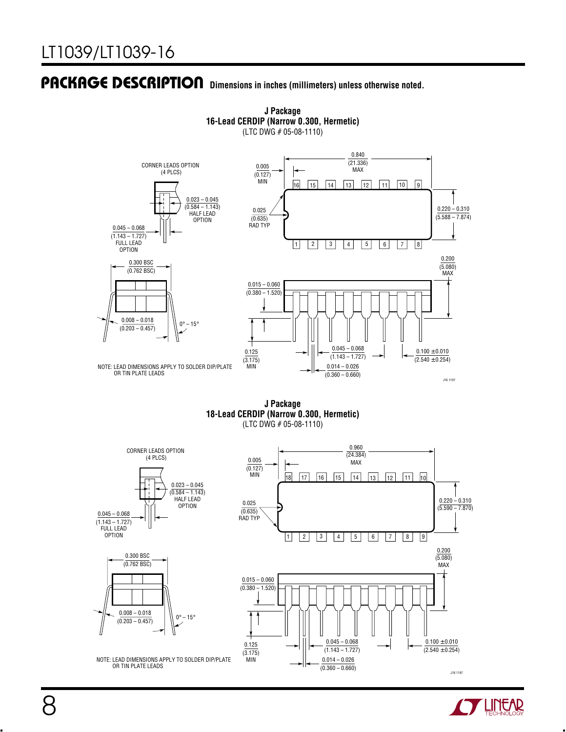

**J Package 16-Lead CERDIP (Narrow 0.300, Hermetic)** (LTC DWG # 05-08-1110)

**J Package 18-Lead CERDIP (Narrow 0.300, Hermetic)** (LTC DWG # 05-08-1110)



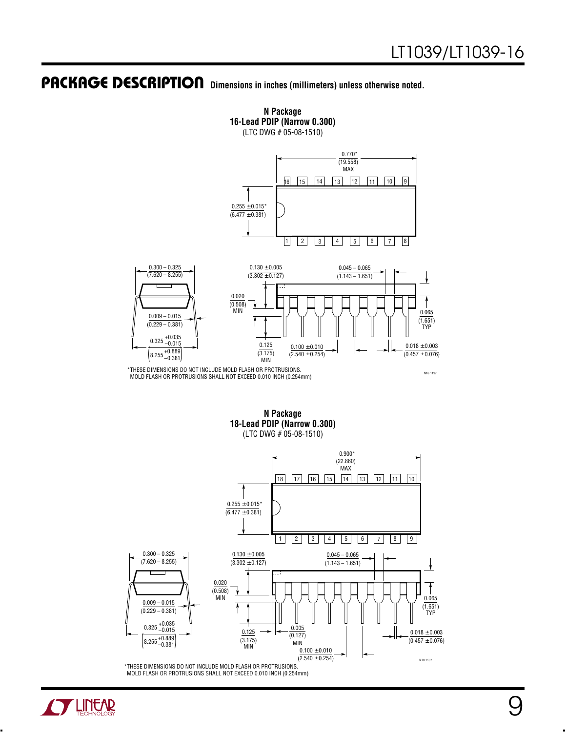

**N Package 16-Lead PDIP (Narrow 0.300)**

(LTC DWG # 05-08-1510)

\*THESE DIMENSIONS DO NOT INCLUDE MOLD FLASH OR PROTRUSIONS. MOLD FLASH OR PROTRUSIONS SHALL NOT EXCEED 0.010 INCH (0.254mm)

N16 1197

**N Package 18-Lead PDIP (Narrow 0.300)** (LTC DWG # 05-08-1510)



MOLD FLASH OR PROTRUSIONS SHALL NOT EXCEED 0.010 INCH (0.254mm)

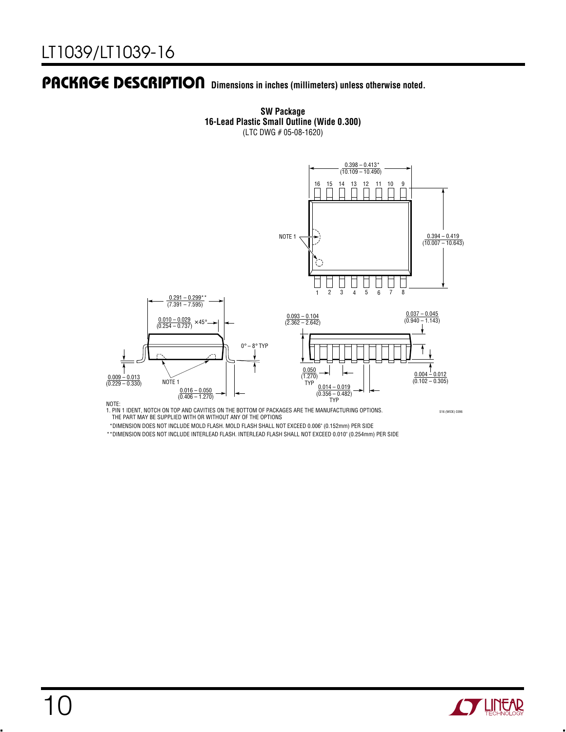

**SW Package 16-Lead Plastic Small Outline (Wide 0.300)** (LTC DWG # 05-08-1620)

NOTE:<br>1. PIN 1 IDENT, NOTCH ON TOP AND CAVITIES ON THE BOTTOM OF PACKAGES ARE THE MANUFACTURING OPTIONS.<br>THE PART MAY BE SUPPLIED WITH OR WITHOUT ANY OF THE OPTIONS

S16 (WIDE) 0396

\*DIMENSION DOES NOT INCLUDE MOLD FLASH. MOLD FLASH SHALL NOT EXCEED 0.006" (0.152mm) PER SIDE

\*\*DIMENSION DOES NOT INCLUDE INTERLEAD FLASH. INTERLEAD FLASH SHALL NOT EXCEED 0.010" (0.254mm) PER SIDE

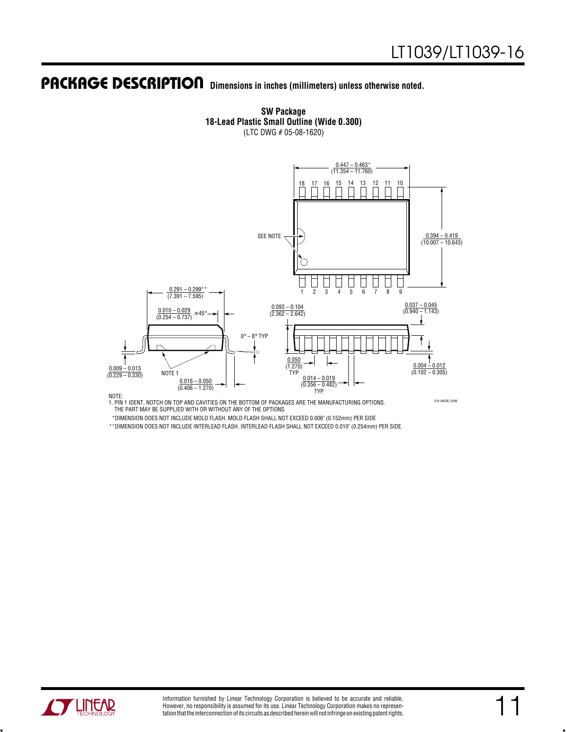

**SW Package 18-Lead Plastic Small Outline (Wide 0.300)** (LTC DWG # 05-08-1620)

NOTE:<br>1. PIN 1 IDENT, NOTCH ON TOP AND CAVITIES ON THE BOTTOM OF PACKAGES ARE THE MANUFACTURING OPTIONS. THE PART MAY BE SUPPLIED WITH OR WITHOUT ANY OF THE OPTIONS

S18 (WIDE) 0396

\*DIMENSION DOES NOT INCLUDE MOLD FLASH. MOLD FLASH SHALL NOT EXCEED 0.006" (0.152mm) PER SIDE

\*\*DIMENSION DOES NOT INCLUDE INTERLEAD FLASH. INTERLEAD FLASH SHALL NOT EXCEED 0.010" (0.254mm) PER SIDE